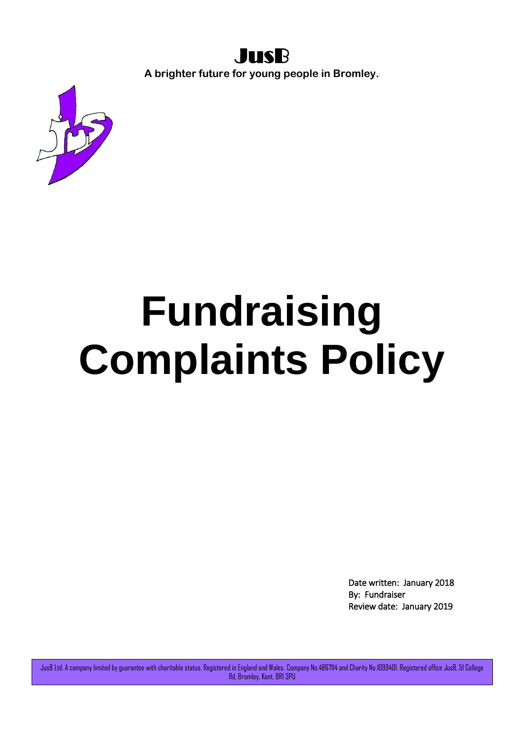

**A brighter future for young people in Bromley.**



## **Fundraising Complaints Policy**

Date written: January 2018 By: Fundraiser Review date: January 2019

JusB Ltd. A company limited by guarantee with charitable status. Registered in England and Wales. Company No.4867114 and Charity No.1099401. Registered office JusB, 51 College Rd, Bromley, Kent, BR1 3PU